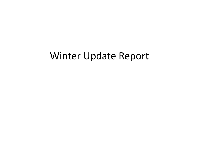### Winter Update Report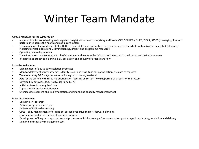### Winter Team Mandate

### **Agreed mandate for the winter team**

- A winter director coordinating an integrated (single) winter team comprising staff from (OCC / OUHFT / OHFT / SCAS / OCCG ) managing flow and performance across the health and social care system
- Team made up of seconded-in staff with the responsibility and authority over resources across the whole system (within delegated tolerances) including clinical, operational, commissioning, project and programme resources
- Operating seven days a week
- The winter director accountable to chief executives and works with COOs across the system to build trust and deliver outcomes
- Integrated approach to planning, daily escalation and delivery of urgent care flow

### **Activities to include:**

- Management of day to day escalation processes
- Monitor delivery of winter schemes, identify issues and risks, take mitigating action, escalate as required
- Team operating 8-8 7 days per week including out of hours/weekend
- Acts for the system with resource prioritisation focusing on system flow supporting all aspects of the system
- Develop key pathways (e.g. frailty, delirium, COPD)
- Activities to reduce length of stay
- Support HART implementation plan
- Oversee development and implementation of demand and capacity management tool

### **Expected outcomes:**

- Delivery of 4HH target
- Delivery of system winter plan
- Delivery of 92% bed occupancy
- OPEL daily management of escalation, agreed predictive triggers, forward planning
- Coordination and prioritisation of system resources
- Development of long term approaches and processes which improve performance and support integration planning, escalation and delivery
- Demand and capacity management tool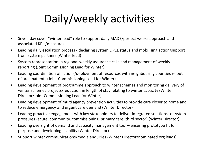# Daily/weekly activities

- Seven day cover "winter lead" role to support daily MADE/perfect weeks approach and associated KPIs/measures
- Leading daily escalation process declaring system OPEL status and mobilising action/support from system partners (Winter lead)
- System representation in regional weekly assurance calls and management of weekly reporting (Joint Commissioning Lead for Winter)
- Leading coordination of actions/deployment of resources with neighbouring counties re out of area patients (Joint Commissioning Lead for Winter)
- Leading development of programme approach to winter schemes and monitoring delivery of winter schemes projects/reduction in length of stay relating to winter capacity (Winter Director/Joint Commissioning Lead for Winter)
- Leading development of multi agency prevention activities to provide care closer to home and to reduce emergency and urgent care demand (Winter Director)
- Leading proactive engagement with key stakeholders to deliver integrated solutions to system pressures (acute, community, commissioning, primary care, third sector) (Winter Director)
- Leading oversight of demand and capacity management tool ensuring prototype fit for purpose and developing usability (Winter Director)
- Support winter communications/media enquiries (Winter Director/nominated org leads)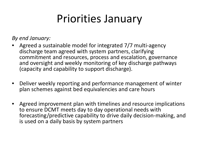### Priorities January

*By end January:*

- Agreed a sustainable model for integrated 7/7 multi-agency discharge team agreed with system partners, clarifying commitment and resources, process and escalation, governance and oversight and weekly monitoring of key discharge pathways (capacity and capability to support discharge).
- Deliver weekly reporting and performance management of winter plan schemes against bed equivalencies and care hours
- Agreed improvement plan with timelines and resource implications to ensure DCMT meets day to day operational needs with forecasting/predictive capability to drive daily decision-making, and is used on a daily basis by system partners